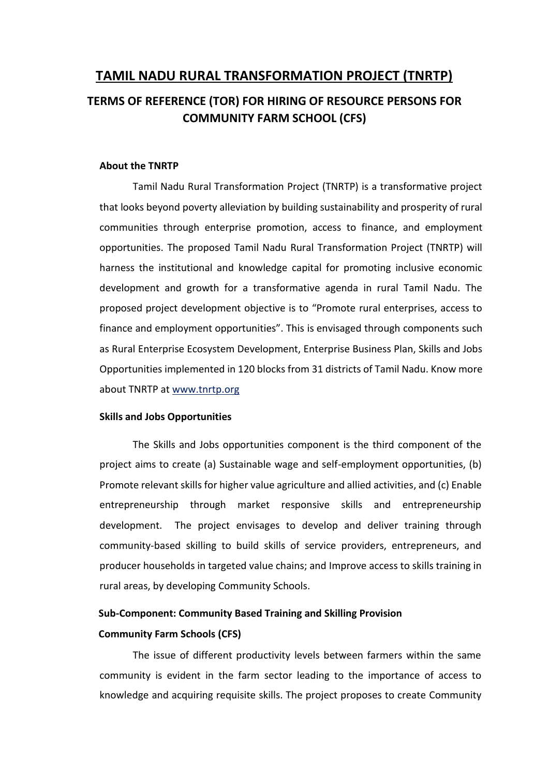# **TAMIL NADU RURAL TRANSFORMATION PROJECT (TNRTP)**

# **TERMS OF REFERENCE (TOR) FOR HIRING OF RESOURCE PERSONS FOR COMMUNITY FARM SCHOOL (CFS)**

#### **About the TNRTP**

Tamil Nadu Rural Transformation Project (TNRTP) is a transformative project that looks beyond poverty alleviation by building sustainability and prosperity of rural communities through enterprise promotion, access to finance, and employment opportunities. The proposed Tamil Nadu Rural Transformation Project (TNRTP) will harness the institutional and knowledge capital for promoting inclusive economic development and growth for a transformative agenda in rural Tamil Nadu. The proposed project development objective is to "Promote rural enterprises, access to finance and employment opportunities". This is envisaged through components such as Rural Enterprise Ecosystem Development, Enterprise Business Plan, Skills and Jobs Opportunities implemented in 120 blocks from 31 districts of Tamil Nadu. Know more about TNRTP at www.tnrtp.org

#### **Skills and Jobs Opportunities**

The Skills and Jobs opportunities component is the third component of the project aims to create (a) Sustainable wage and self-employment opportunities, (b) Promote relevant skills for higher value agriculture and allied activities, and (c) Enable entrepreneurship through market responsive skills and entrepreneurship development. The project envisages to develop and deliver training through community-based skilling to build skills of service providers, entrepreneurs, and producer households in targeted value chains; and Improve access to skills training in rural areas, by developing Community Schools.

# **Sub-Component: Community Based Training and Skilling Provision Community Farm Schools (CFS)**

The issue of different productivity levels between farmers within the same community is evident in the farm sector leading to the importance of access to knowledge and acquiring requisite skills. The project proposes to create Community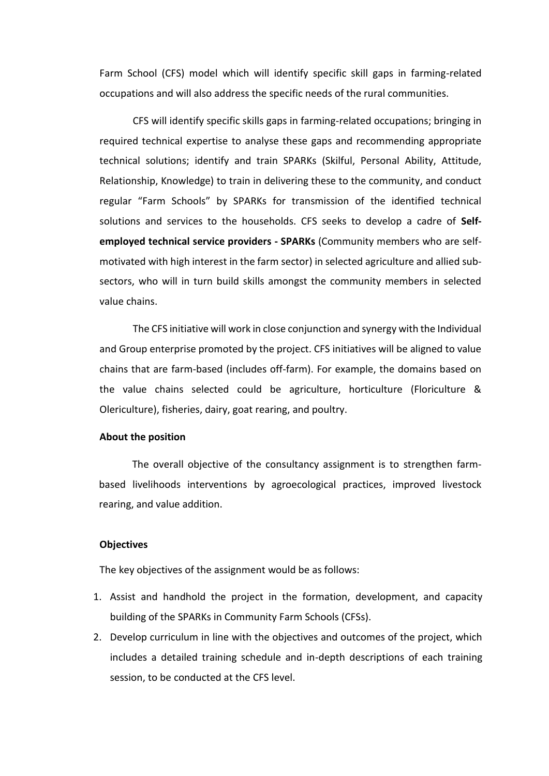Farm School (CFS) model which will identify specific skill gaps in farming-related occupations and will also address the specific needs of the rural communities.

CFS will identify specific skills gaps in farming-related occupations; bringing in required technical expertise to analyse these gaps and recommending appropriate technical solutions; identify and train SPARKs (Skilful, Personal Ability, Attitude, Relationship, Knowledge) to train in delivering these to the community, and conduct regular "Farm Schools" by SPARKs for transmission of the identified technical solutions and services to the households. CFS seeks to develop a cadre of **Selfemployed technical service providers - SPARKs** (Community members who are selfmotivated with high interest in the farm sector) in selected agriculture and allied subsectors, who will in turn build skills amongst the community members in selected value chains.

The CFS initiative will work in close conjunction and synergy with the Individual and Group enterprise promoted by the project. CFS initiatives will be aligned to value chains that are farm-based (includes off-farm). For example, the domains based on the value chains selected could be agriculture, horticulture (Floriculture & Olericulture), fisheries, dairy, goat rearing, and poultry.

#### **About the position**

The overall objective of the consultancy assignment is to strengthen farmbased livelihoods interventions by agroecological practices, improved livestock rearing, and value addition.

#### **Objectives**

The key objectives of the assignment would be as follows:

- 1. Assist and handhold the project in the formation, development, and capacity building of the SPARKs in Community Farm Schools (CFSs).
- 2. Develop curriculum in line with the objectives and outcomes of the project, which includes a detailed training schedule and in-depth descriptions of each training session, to be conducted at the CFS level.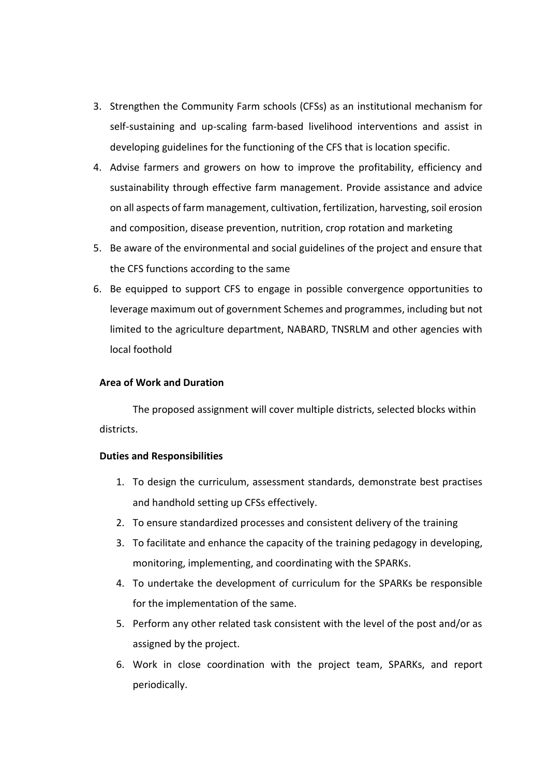- 3. Strengthen the Community Farm schools (CFSs) as an institutional mechanism for self-sustaining and up-scaling farm-based livelihood interventions and assist in developing guidelines for the functioning of the CFS that is location specific.
- 4. Advise farmers and growers on how to improve the profitability, efficiency and sustainability through effective farm management. Provide assistance and advice on all aspects of farm management, cultivation, fertilization, harvesting, soil erosion and composition, disease prevention, nutrition, crop rotation and marketing
- 5. Be aware of the environmental and social guidelines of the project and ensure that the CFS functions according to the same
- 6. Be equipped to support CFS to engage in possible convergence opportunities to leverage maximum out of government Schemes and programmes, including but not limited to the agriculture department, NABARD, TNSRLM and other agencies with local foothold

#### **Area of Work and Duration**

The proposed assignment will cover multiple districts, selected blocks within districts.

#### **Duties and Responsibilities**

- 1. To design the curriculum, assessment standards, demonstrate best practises and handhold setting up CFSs effectively.
- 2. To ensure standardized processes and consistent delivery of the training
- 3. To facilitate and enhance the capacity of the training pedagogy in developing, monitoring, implementing, and coordinating with the SPARKs.
- 4. To undertake the development of curriculum for the SPARKs be responsible for the implementation of the same.
- 5. Perform any other related task consistent with the level of the post and/or as assigned by the project.
- 6. Work in close coordination with the project team, SPARKs, and report periodically.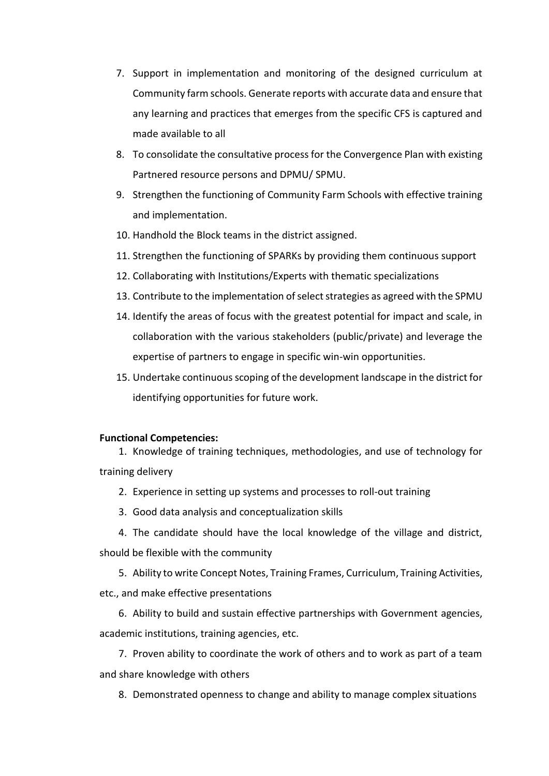- 7. Support in implementation and monitoring of the designed curriculum at Community farm schools. Generate reports with accurate data and ensure that any learning and practices that emerges from the specific CFS is captured and made available to all
- 8. To consolidate the consultative process for the Convergence Plan with existing Partnered resource persons and DPMU/ SPMU.
- 9. Strengthen the functioning of Community Farm Schools with effective training and implementation.
- 10. Handhold the Block teams in the district assigned.
- 11. Strengthen the functioning of SPARKs by providing them continuous support
- 12. Collaborating with Institutions/Experts with thematic specializations
- 13. Contribute to the implementation of select strategies as agreed with the SPMU
- 14. Identify the areas of focus with the greatest potential for impact and scale, in collaboration with the various stakeholders (public/private) and leverage the expertise of partners to engage in specific win-win opportunities.
- 15. Undertake continuous scoping of the development landscape in the district for identifying opportunities for future work.

#### **Functional Competencies:**

1. Knowledge of training techniques, methodologies, and use of technology for training delivery

- 2. Experience in setting up systems and processes to roll-out training
- 3. Good data analysis and conceptualization skills

4. The candidate should have the local knowledge of the village and district, should be flexible with the community

5. Ability to write Concept Notes, Training Frames, Curriculum, Training Activities, etc., and make effective presentations

6. Ability to build and sustain effective partnerships with Government agencies, academic institutions, training agencies, etc.

7. Proven ability to coordinate the work of others and to work as part of a team and share knowledge with others

8. Demonstrated openness to change and ability to manage complex situations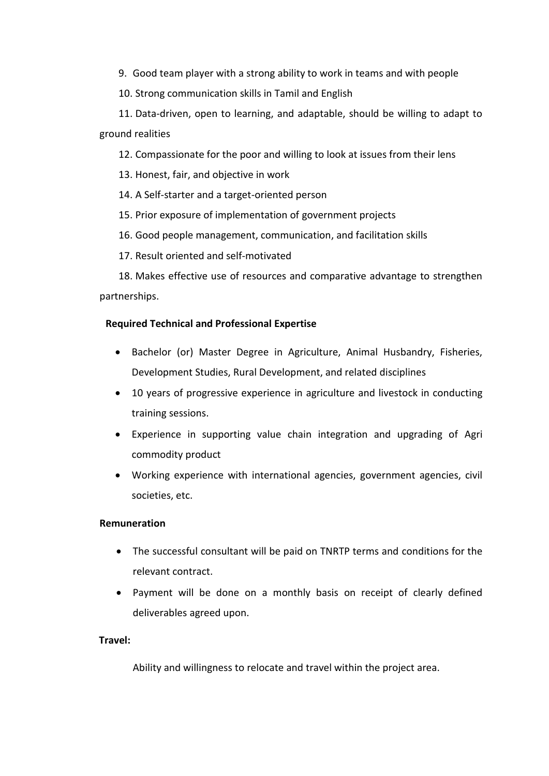9. Good team player with a strong ability to work in teams and with people

10. Strong communication skills in Tamil and English

11. Data-driven, open to learning, and adaptable, should be willing to adapt to ground realities

12. Compassionate for the poor and willing to look at issues from their lens

13. Honest, fair, and objective in work

14. A Self-starter and a target-oriented person

15. Prior exposure of implementation of government projects

16. Good people management, communication, and facilitation skills

17. Result oriented and self-motivated

18. Makes effective use of resources and comparative advantage to strengthen partnerships.

## **Required Technical and Professional Expertise**

- Bachelor (or) Master Degree in Agriculture, Animal Husbandry, Fisheries, Development Studies, Rural Development, and related disciplines
- 10 years of progressive experience in agriculture and livestock in conducting training sessions.
- Experience in supporting value chain integration and upgrading of Agri commodity product
- Working experience with international agencies, government agencies, civil societies, etc.

## **Remuneration**

- The successful consultant will be paid on TNRTP terms and conditions for the relevant contract.
- Payment will be done on a monthly basis on receipt of clearly defined deliverables agreed upon.

## **Travel:**

Ability and willingness to relocate and travel within the project area.